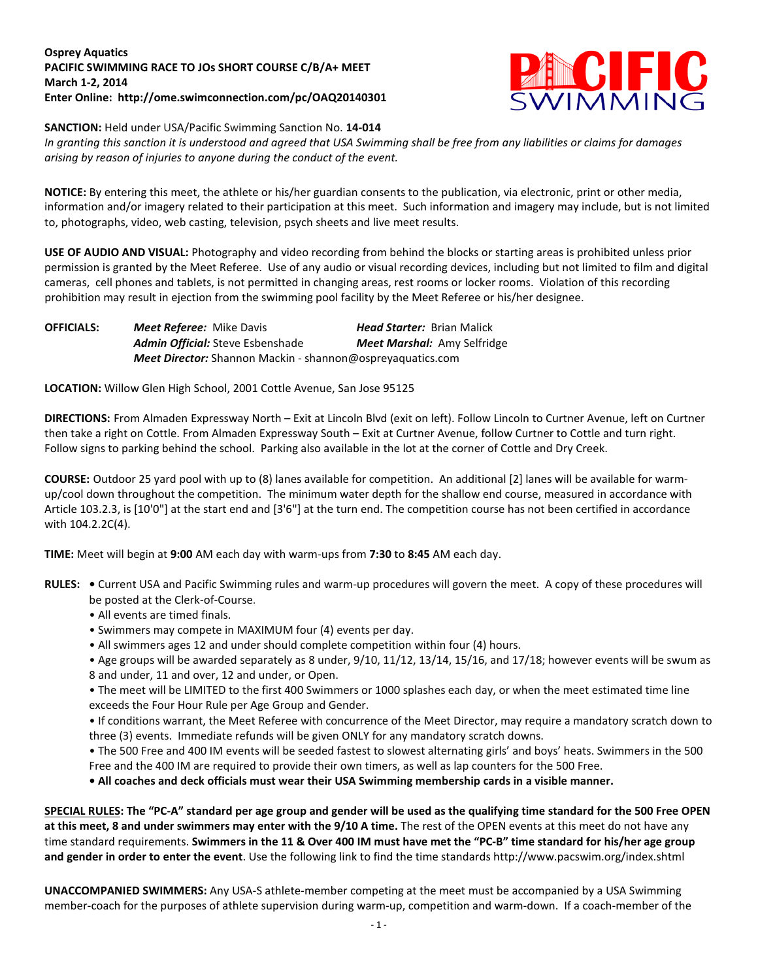## **Osprey Aquatics PACIFIC SWIMMING RACE TO JOs SHORT COURSE C/B/A+ MEET March 1-2, 2014 Enter Online: http://ome.swimconnection.com/pc/OAQ20140301**



## **SANCTION:** Held under USA/Pacific Swimming Sanction No. **14-014**

*In granting this sanction it is understood and agreed that USA Swimming shall be free from any liabilities or claims for damages arising by reason of injuries to anyone during the conduct of the event.*

**NOTICE:** By entering this meet, the athlete or his/her guardian consents to the publication, via electronic, print or other media, information and/or imagery related to their participation at this meet. Such information and imagery may include, but is not limited to, photographs, video, web casting, television, psych sheets and live meet results.

**USE OF AUDIO AND VISUAL:** Photography and video recording from behind the blocks or starting areas is prohibited unless prior permission is granted by the Meet Referee. Use of any audio or visual recording devices, including but not limited to film and digital cameras, cell phones and tablets, is not permitted in changing areas, rest rooms or locker rooms. Violation of this recording prohibition may result in ejection from the swimming pool facility by the Meet Referee or his/her designee.

**OFFICIALS:** *Meet Referee:* Mike Davis *Head Starter:* Brian Malick *Admin Official:* Steve Esbenshade *Meet Marshal:* Amy Selfridge *Meet Director:* Shannon Mackin - shannon@ospreyaquatics.com

**LOCATION:** Willow Glen High School, 2001 Cottle Avenue, San Jose 95125

**DIRECTIONS:** From Almaden Expressway North – Exit at Lincoln Blvd (exit on left). Follow Lincoln to Curtner Avenue, left on Curtner then take a right on Cottle. From Almaden Expressway South – Exit at Curtner Avenue, follow Curtner to Cottle and turn right. Follow signs to parking behind the school. Parking also available in the lot at the corner of Cottle and Dry Creek.

**COURSE:** Outdoor 25 yard pool with up to (8) lanes available for competition. An additional [2] lanes will be available for warmup/cool down throughout the competition. The minimum water depth for the shallow end course, measured in accordance with Article 103.2.3, is [10'0"] at the start end and [3'6"] at the turn end. The competition course has not been certified in accordance with 104.2.2C(4).

**TIME:** Meet will begin at **9:00** AM each day with warm-ups from **7:30** to **8:45** AM each day.

- **RULES: •** Current USA and Pacific Swimming rules and warm-up procedures will govern the meet. A copy of these procedures will be posted at the Clerk-of-Course.
	- All events are timed finals.
	- Swimmers may compete in MAXIMUM four (4) events per day.
	- All swimmers ages 12 and under should complete competition within four (4) hours.
	- Age groups will be awarded separately as 8 under, 9/10, 11/12, 13/14, 15/16, and 17/18; however events will be swum as 8 and under, 11 and over, 12 and under, or Open.

• The meet will be LIMITED to the first 400 Swimmers or 1000 splashes each day, or when the meet estimated time line exceeds the Four Hour Rule per Age Group and Gender.

• If conditions warrant, the Meet Referee with concurrence of the Meet Director, may require a mandatory scratch down to three (3) events. Immediate refunds will be given ONLY for any mandatory scratch downs.

• The 500 Free and 400 IM events will be seeded fastest to slowest alternating girls' and boys' heats. Swimmers in the 500 Free and the 400 IM are required to provide their own timers, as well as lap counters for the 500 Free.

**• All coaches and deck officials must wear their USA Swimming membership cards in a visible manner.** 

**SPECIAL RULES: The "PC-A" standard per age group and gender will be used as the qualifying time standard for the 500 Free OPEN at this meet, 8 and under swimmers may enter with the 9/10 A time.** The rest of the OPEN events at this meet do not have any time standard requirements. **Swimmers in the 11 & Over 400 IM must have met the "PC-B" time standard for his/her age group and gender in order to enter the event**. Use the following link to find the time standards http://www.pacswim.org/index.shtml

**UNACCOMPANIED SWIMMERS:** Any USA-S athlete-member competing at the meet must be accompanied by a USA Swimming member-coach for the purposes of athlete supervision during warm-up, competition and warm-down. If a coach-member of the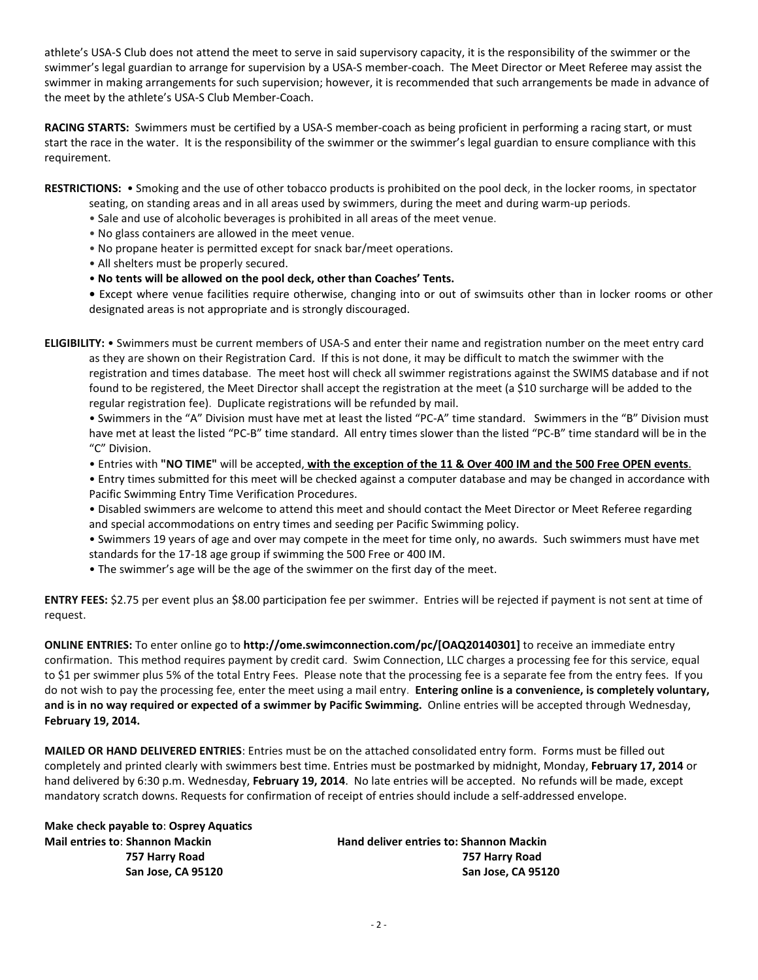athlete's USA-S Club does not attend the meet to serve in said supervisory capacity, it is the responsibility of the swimmer or the swimmer's legal guardian to arrange for supervision by a USA-S member-coach. The Meet Director or Meet Referee may assist the swimmer in making arrangements for such supervision; however, it is recommended that such arrangements be made in advance of the meet by the athlete's USA-S Club Member-Coach.

**RACING STARTS:** Swimmers must be certified by a USA-S member-coach as being proficient in performing a racing start, or must start the race in the water. It is the responsibility of the swimmer or the swimmer's legal guardian to ensure compliance with this requirement.

**RESTRICTIONS:** • Smoking and the use of other tobacco products is prohibited on the pool deck, in the locker rooms, in spectator

- seating, on standing areas and in all areas used by swimmers, during the meet and during warm-up periods.
- Sale and use of alcoholic beverages is prohibited in all areas of the meet venue.
- No glass containers are allowed in the meet venue.
- No propane heater is permitted except for snack bar/meet operations.
- All shelters must be properly secured.
- **No tents will be allowed on the pool deck, other than Coaches' Tents.**

**•** Except where venue facilities require otherwise, changing into or out of swimsuits other than in locker rooms or other designated areas is not appropriate and is strongly discouraged.

**ELIGIBILITY:** • Swimmers must be current members of USA-S and enter their name and registration number on the meet entry card as they are shown on their Registration Card. If this is not done, it may be difficult to match the swimmer with the registration and times database. The meet host will check all swimmer registrations against the SWIMS database and if not found to be registered, the Meet Director shall accept the registration at the meet (a \$10 surcharge will be added to the regular registration fee). Duplicate registrations will be refunded by mail.

• Swimmers in the "A" Division must have met at least the listed "PC-A" time standard. Swimmers in the "B" Division must have met at least the listed "PC-B" time standard. All entry times slower than the listed "PC-B" time standard will be in the "C" Division.

- Entries with **"NO TIME"** will be accepted, **with the exception of the 11 & Over 400 IM and the 500 Free OPEN events**.
- Entry times submitted for this meet will be checked against a computer database and may be changed in accordance with Pacific Swimming Entry Time Verification Procedures.
- Disabled swimmers are welcome to attend this meet and should contact the Meet Director or Meet Referee regarding and special accommodations on entry times and seeding per Pacific Swimming policy.

• Swimmers 19 years of age and over may compete in the meet for time only, no awards. Such swimmers must have met standards for the 17-18 age group if swimming the 500 Free or 400 IM.

• The swimmer's age will be the age of the swimmer on the first day of the meet.

**ENTRY FEES:** \$2.75 per event plus an \$8.00 participation fee per swimmer. Entries will be rejected if payment is not sent at time of request.

**ONLINE ENTRIES:** To enter online go to **http://ome.swimconnection.com/pc/[OAQ20140301]** to receive an immediate entry confirmation. This method requires payment by credit card. Swim Connection, LLC charges a processing fee for this service, equal to \$1 per swimmer plus 5% of the total Entry Fees. Please note that the processing fee is a separate fee from the entry fees. If you do not wish to pay the processing fee, enter the meet using a mail entry. **Entering online is a convenience, is completely voluntary, and is in no way required or expected of a swimmer by Pacific Swimming.** Online entries will be accepted through Wednesday, **February 19, 2014.**

**MAILED OR HAND DELIVERED ENTRIES**: Entries must be on the attached consolidated entry form. Forms must be filled out completely and printed clearly with swimmers best time. Entries must be postmarked by midnight, Monday, **February 17, 2014** or hand delivered by 6:30 p.m. Wednesday, **February 19, 2014**. No late entries will be accepted. No refunds will be made, except mandatory scratch downs. Requests for confirmation of receipt of entries should include a self-addressed envelope.

**Make check payable to**: **Osprey Aquatics Mail entries to**: **Shannon Mackin Hand deliver entries to: Shannon Mackin**

 **757 Harry Road 757 Harry Road San Jose, CA 95120 San Jose, CA 95120**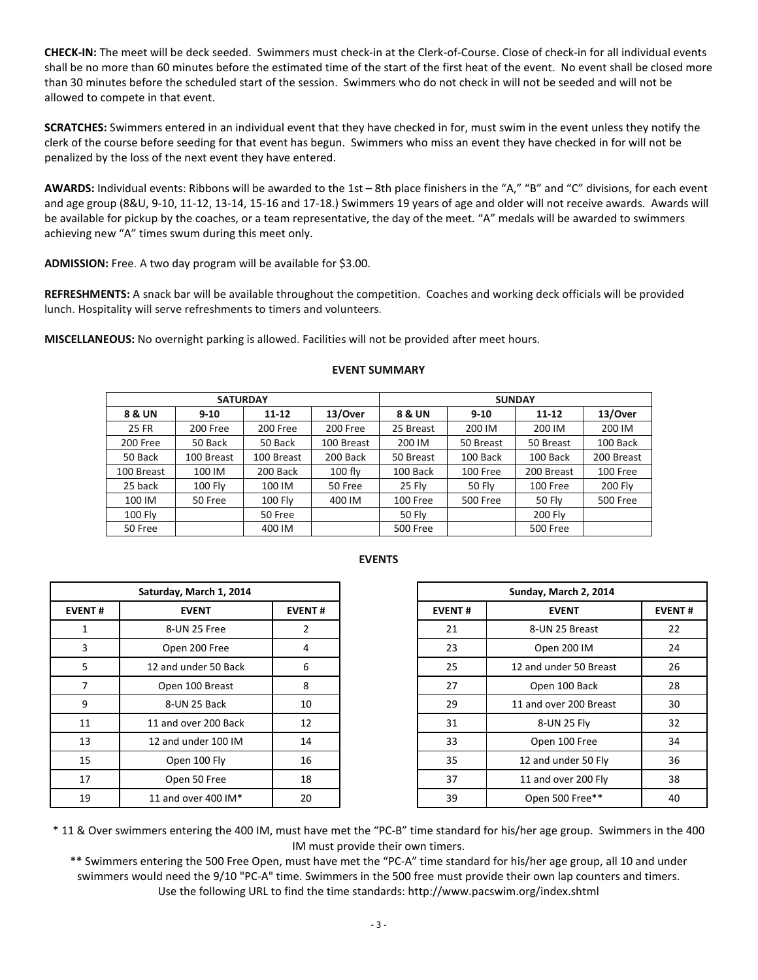**CHECK-IN:** The meet will be deck seeded. Swimmers must check-in at the Clerk-of-Course. Close of check-in for all individual events shall be no more than 60 minutes before the estimated time of the start of the first heat of the event. No event shall be closed more than 30 minutes before the scheduled start of the session. Swimmers who do not check in will not be seeded and will not be allowed to compete in that event.

**SCRATCHES:** Swimmers entered in an individual event that they have checked in for, must swim in the event unless they notify the clerk of the course before seeding for that event has begun. Swimmers who miss an event they have checked in for will not be penalized by the loss of the next event they have entered.

**AWARDS:** Individual events: Ribbons will be awarded to the 1st – 8th place finishers in the "A," "B" and "C" divisions, for each event and age group (8&U, 9-10, 11-12, 13-14, 15-16 and 17-18.) Swimmers 19 years of age and older will not receive awards. Awards will be available for pickup by the coaches, or a team representative, the day of the meet. "A" medals will be awarded to swimmers achieving new "A" times swum during this meet only.

**ADMISSION:** Free. A two day program will be available for \$3.00.

**REFRESHMENTS:** A snack bar will be available throughout the competition. Coaches and working deck officials will be provided lunch. Hospitality will serve refreshments to timers and volunteers.

**MISCELLANEOUS:** No overnight parking is allowed. Facilities will not be provided after meet hours.

|                   | <b>SATURDAY</b> |                |            | <b>SUNDAY</b>   |                 |                 |                 |  |  |  |
|-------------------|-----------------|----------------|------------|-----------------|-----------------|-----------------|-----------------|--|--|--|
| <b>8 &amp; UN</b> | $9 - 10$        | $11 - 12$      | 13/Over    | 8 & UN          | $9 - 10$        | $11 - 12$       | 13/Over         |  |  |  |
| 25 FR             | 200 Free        | 200 Free       | 200 Free   | 25 Breast       | 200 IM          | 200 IM          | 200 IM          |  |  |  |
| 200 Free          | 50 Back         | 50 Back        | 100 Breast | 200 IM          | 50 Breast       | 50 Breast       | 100 Back        |  |  |  |
| 50 Back           | 100 Breast      | 100 Breast     | 200 Back   | 50 Breast       | 100 Back        | 100 Back        | 200 Breast      |  |  |  |
| 100 Breast        | 100 IM          | 200 Back       | $100$ fly  | 100 Back        | 100 Free        | 200 Breast      | 100 Free        |  |  |  |
| 25 back           | <b>100 Fly</b>  | 100 IM         | 50 Free    | 25 Flv          | 50 Fly          | 100 Free        | 200 Fly         |  |  |  |
| 100 IM            | 50 Free         | <b>100 Fly</b> | 400 IM     | 100 Free        | <b>500 Free</b> | 50 Fly          | <b>500 Free</b> |  |  |  |
| <b>100 Fly</b>    |                 | 50 Free        |            | 50 Fly          |                 | 200 Fly         |                 |  |  |  |
| 50 Free           |                 | 400 IM         |            | <b>500 Free</b> |                 | <b>500 Free</b> |                 |  |  |  |

|               | Saturday, March 1, 2014 |               |
|---------------|-------------------------|---------------|
| <b>EVENT#</b> | <b>EVENT</b>            | <b>EVENT#</b> |
|               | 8-UN 25 Free            | 2             |
| 3             | Open 200 Free           | 4             |
| 5             | 12 and under 50 Back    | 6             |
|               | Open 100 Breast         | 8             |
| 9             | 8-UN 25 Back            | 10            |
| 11            | 11 and over 200 Back    | 12            |
| 13            | 12 and under 100 IM     | 14            |
| 15            | Open 100 Fly            | 16            |
| 17            | Open 50 Free            | 18            |
| 19            | 11 and over 400 IM*     | 20            |

## **EVENTS**

| Saturday, March 1, 2014 |                      |               |  |
|-------------------------|----------------------|---------------|--|
| NT#                     | <b>EVENT</b>         | <b>EVENT#</b> |  |
|                         | 8-UN 25 Free         | 2             |  |
| 3                       | Open 200 Free        | 4             |  |
| 5.                      | 12 and under 50 Back | 6             |  |
| $\overline{7}$          | Open 100 Breast      | 8             |  |
| 9                       | 8-UN 25 Back         | 10            |  |
|                         | 11 and over 200 Back | 12            |  |
| L3                      | 12 and under 100 IM  | 14            |  |
| L5                      | Open 100 Fly         | 16            |  |
| L7                      | Open 50 Free         | 18            |  |
| L9                      | 11 and over 400 IM*  | 20            |  |

\* 11 & Over swimmers entering the 400 IM, must have met the "PC-B" time standard for his/her age group. Swimmers in the 400 IM must provide their own timers.

\*\* Swimmers entering the 500 Free Open, must have met the "PC-A" time standard for his/her age group, all 10 and under swimmers would need the 9/10 "PC-A" time. Swimmers in the 500 free must provide their own lap counters and timers. Use the following URL to find the time standards: http://www.pacswim.org/index.shtml